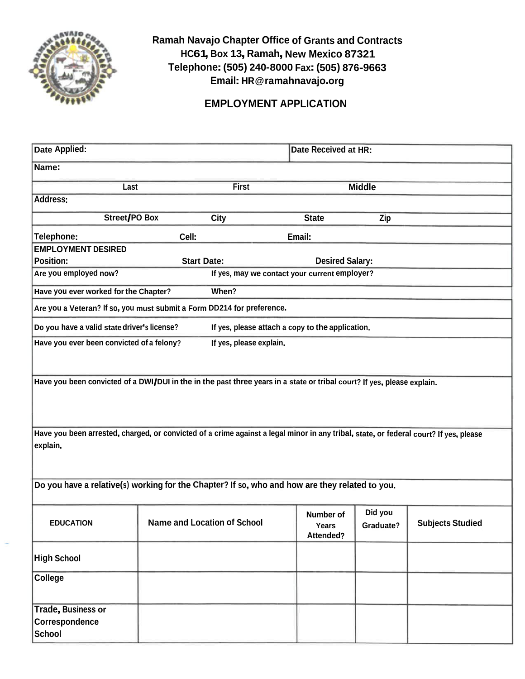

# **Ramah Navajo Chapter Office of Grants and Contracts HC61, Box 13, Ramah, New Mexico 87321 Telephone:(505) 240-8000 Fax:(505) 876-9663 Email: HR@ramahnavajo.org**

## **EMPLOYMENT APPLICATION**

| Date Applied:                                                                                                                                     |                                                                                                 | Date Received at HR:    |                                               |                      |                         |  |
|---------------------------------------------------------------------------------------------------------------------------------------------------|-------------------------------------------------------------------------------------------------|-------------------------|-----------------------------------------------|----------------------|-------------------------|--|
| Name:                                                                                                                                             |                                                                                                 |                         |                                               |                      |                         |  |
| Last                                                                                                                                              |                                                                                                 | <b>First</b>            |                                               | <b>Middle</b>        |                         |  |
| <b>Address:</b>                                                                                                                                   |                                                                                                 |                         |                                               |                      |                         |  |
| Street/PO Box                                                                                                                                     |                                                                                                 | <b>City</b>             | <b>State</b>                                  | Zip                  |                         |  |
| Telephone:                                                                                                                                        | Cell:                                                                                           |                         | Email:                                        |                      |                         |  |
| <b>EMPLOYMENT DESIRED</b>                                                                                                                         |                                                                                                 |                         |                                               |                      |                         |  |
| <b>Position:</b>                                                                                                                                  | <b>Start Date:</b>                                                                              |                         | <b>Desired Salary:</b>                        |                      |                         |  |
| Are you employed now?                                                                                                                             |                                                                                                 |                         | If yes, may we contact your current employer? |                      |                         |  |
| Have you ever worked for the Chapter?                                                                                                             |                                                                                                 | When?                   |                                               |                      |                         |  |
| Are you a Veteran? If so, you must submit a Form DD214 for preference.                                                                            |                                                                                                 |                         |                                               |                      |                         |  |
|                                                                                                                                                   | Do you have a valid state driver's license?<br>If yes, please attach a copy to the application. |                         |                                               |                      |                         |  |
| Have you ever been convicted of a felony?                                                                                                         |                                                                                                 | If yes, please explain. |                                               |                      |                         |  |
| Have you been convicted of a DWI/DUI in the in the past three years in a state or tribal court? If yes, please explain.                           |                                                                                                 |                         |                                               |                      |                         |  |
| Have you been arrested, charged, or convicted of a crime against a legal minor in any tribal, state, or federal court? If yes, please<br>explain. |                                                                                                 |                         |                                               |                      |                         |  |
| Do you have a relative(s) working for the Chapter? If so, who and how are they related to you.                                                    |                                                                                                 |                         |                                               |                      |                         |  |
| <b>EDUCATION</b>                                                                                                                                  | <b>Name and Location of School</b>                                                              |                         | Number of<br>Years<br>Attended?               | Did you<br>Graduate? | <b>Subjects Studied</b> |  |
| <b>High School</b>                                                                                                                                |                                                                                                 |                         |                                               |                      |                         |  |
| <b>College</b>                                                                                                                                    |                                                                                                 |                         |                                               |                      |                         |  |
| <b>Trade, Business or</b><br>Correspondence<br><b>School</b>                                                                                      |                                                                                                 |                         |                                               |                      |                         |  |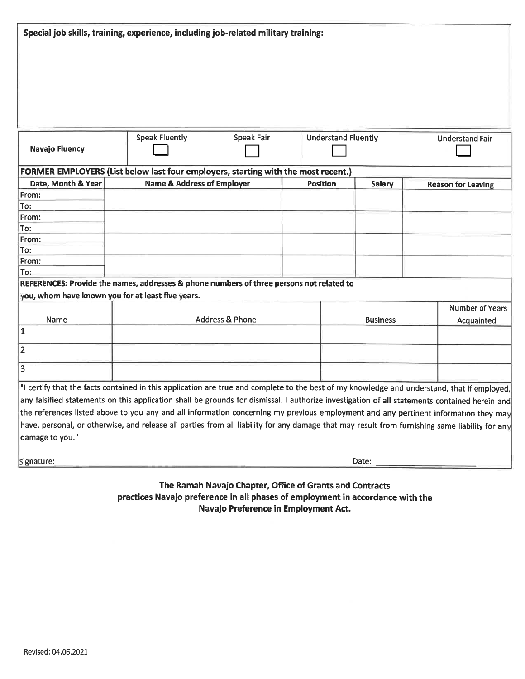| Special job skills, training, experience, including job-related military training: |                                                                                                                                                |                   |  |                            |        |                           |                 |
|------------------------------------------------------------------------------------|------------------------------------------------------------------------------------------------------------------------------------------------|-------------------|--|----------------------------|--------|---------------------------|-----------------|
|                                                                                    |                                                                                                                                                |                   |  |                            |        |                           |                 |
|                                                                                    |                                                                                                                                                |                   |  |                            |        |                           |                 |
|                                                                                    |                                                                                                                                                |                   |  |                            |        |                           |                 |
|                                                                                    |                                                                                                                                                |                   |  |                            |        |                           |                 |
|                                                                                    |                                                                                                                                                |                   |  |                            |        |                           |                 |
|                                                                                    |                                                                                                                                                |                   |  |                            |        |                           |                 |
|                                                                                    |                                                                                                                                                |                   |  |                            |        |                           |                 |
|                                                                                    | <b>Speak Fluently</b>                                                                                                                          | <b>Speak Fair</b> |  | <b>Understand Fluently</b> |        | <b>Understand Fair</b>    |                 |
| <b>Navajo Fluency</b>                                                              |                                                                                                                                                |                   |  |                            |        |                           |                 |
|                                                                                    | FORMER EMPLOYERS (List below last four employers, starting with the most recent.)                                                              |                   |  |                            |        |                           |                 |
| Date, Month & Year                                                                 | <b>Name &amp; Address of Employer</b>                                                                                                          |                   |  | <b>Position</b>            | Salary | <b>Reason for Leaving</b> |                 |
| From:                                                                              |                                                                                                                                                |                   |  |                            |        |                           |                 |
| To:                                                                                |                                                                                                                                                |                   |  |                            |        |                           |                 |
| From:                                                                              |                                                                                                                                                |                   |  |                            |        |                           |                 |
| To:                                                                                |                                                                                                                                                |                   |  |                            |        |                           |                 |
| From:                                                                              |                                                                                                                                                |                   |  |                            |        |                           |                 |
| To:                                                                                |                                                                                                                                                |                   |  |                            |        |                           |                 |
| From:                                                                              |                                                                                                                                                |                   |  |                            |        |                           |                 |
| To:                                                                                |                                                                                                                                                |                   |  |                            |        |                           |                 |
|                                                                                    | REFERENCES: Provide the names, addresses & phone numbers of three persons not related to                                                       |                   |  |                            |        |                           |                 |
|                                                                                    | you, whom have known you for at least five years.                                                                                              |                   |  |                            |        |                           |                 |
|                                                                                    |                                                                                                                                                |                   |  |                            |        |                           | Number of Years |
| Name                                                                               | <b>Address &amp; Phone</b>                                                                                                                     |                   |  | <b>Business</b>            |        |                           | Acquainted      |
| 1                                                                                  |                                                                                                                                                |                   |  |                            |        |                           |                 |
| 2                                                                                  |                                                                                                                                                |                   |  |                            |        |                           |                 |
| $\overline{3}$                                                                     |                                                                                                                                                |                   |  |                            |        |                           |                 |
|                                                                                    | "I certify that the facts contained in this application are true and complete to the best of my knowledge and understand, that if employed,    |                   |  |                            |        |                           |                 |
|                                                                                    | any falsified statements on this application shall be grounds for dismissal. I authorize investigation of all statements contained herein and  |                   |  |                            |        |                           |                 |
|                                                                                    | the references listed above to you any and all information concerning my previous employment and any pertinent information they may            |                   |  |                            |        |                           |                 |
|                                                                                    | have, personal, or otherwise, and release all parties from all liability for any damage that may result from furnishing same liability for any |                   |  |                            |        |                           |                 |
| damage to you."                                                                    |                                                                                                                                                |                   |  |                            |        |                           |                 |
|                                                                                    |                                                                                                                                                |                   |  |                            |        |                           |                 |
| Signature:                                                                         |                                                                                                                                                |                   |  |                            | Date:  |                           |                 |
|                                                                                    |                                                                                                                                                |                   |  |                            |        |                           |                 |

## The Ramah Navajo Chapter, Office of Grants and Contracts practices Navajo preference in all phases of employment in accordance with the Navajo Preference in Employment Act.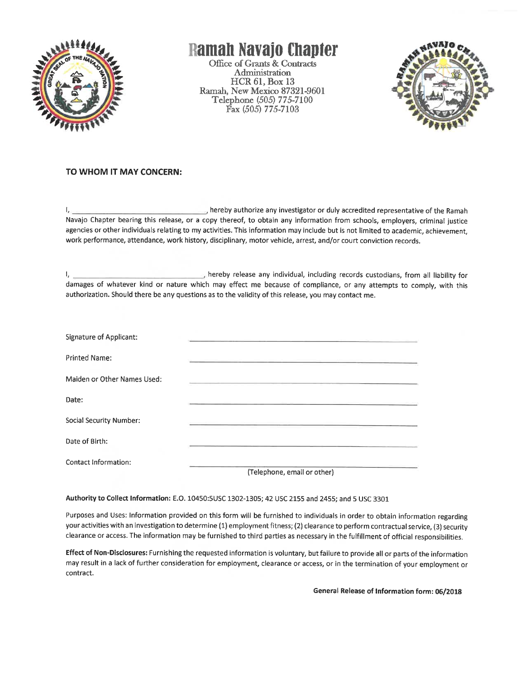

# Ramah Navajo Chapter

Office of Grants & Contracts Administration **HCR 61, Box 13** Ramah. New Mexico 87321-9601 Telephone (505) 775-7100 Fax (505) 775-7103



### TO WHOM IT MAY CONCERN:

hereby authorize any investigator or duly accredited representative of the Ramah  $L$ Navajo Chapter bearing this release, or a copy thereof, to obtain any information from schools, employers, criminal justice agencies or other individuals relating to my activities. This information may include but is not limited to academic, achievement, work performance, attendance, work history, disciplinary, motor vehicle, arrest, and/or court conviction records.

hereby release any individual, including records custodians, from all liability for Τ, damages of whatever kind or nature which may effect me because of compliance, or any attempts to comply, with this authorization. Should there be any questions as to the validity of this release, you may contact me.

| Signature of Applicant:     |                             |
|-----------------------------|-----------------------------|
| Printed Name:               |                             |
| Maiden or Other Names Used: |                             |
| Date:                       |                             |
| Social Security Number:     |                             |
| Date of Birth:              |                             |
| Contact Information:        |                             |
|                             | (Telephone, email or other) |

#### Authority to Collect Information: E.O. 10450:5USC 1302-1305; 42 USC 2155 and 2455; and 5 USC 3301

Purposes and Uses: Information provided on this form will be furnished to individuals in order to obtain information regarding your activities with an investigation to determine (1) employment fitness; (2) clearance to perform contractual service, (3) security clearance or access. The information may be furnished to third parties as necessary in the fulfillment of official responsibilities.

Effect of Non-Disclosures: Furnishing the requested information is voluntary, but failure to provide all or parts of the information may result in a lack of further consideration for employment, clearance or access, or in the termination of your employment or contract.

General Release of Information form: 06/2018